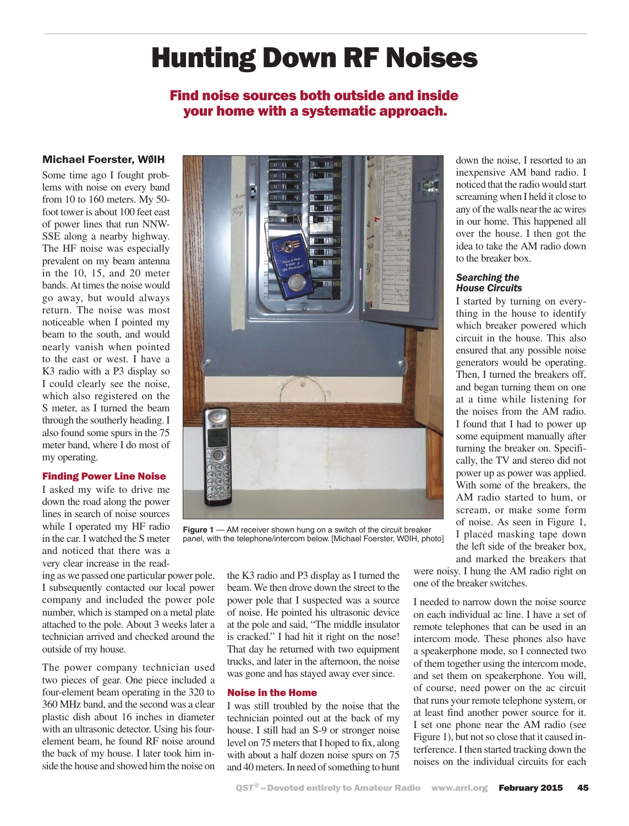# Hunting Down RF Noises

# Find noise sources both outside and inside your home with a systematic approach.

# Michael Foerster, WØIH

Some time ago I fought problems with noise on every band from 10 to 160 meters. My 50 foot tower is about 100 feet east of power lines that run NNW-SSE along a nearby highway. The HF noise was especially prevalent on my beam antenna in the 10, 15, and 20 meter bands. At times the noise would go away, but would always return. The noise was most noticeable when I pointed my beam to the south, and would nearly vanish when pointed to the east or west. I have a K3 radio with a P3 display so I could clearly see the noise, which also registered on the S meter, as I turned the beam through the southerly heading. I also found some spurs in the 75 meter band, where I do most of my operating.

# Finding Power Line Noise

I asked my wife to drive me down the road along the power lines in search of noise sources while I operated my HF radio in the car. I watched the S meter and noticed that there was a very clear increase in the read-

ing as we passed one particular power pole. I subsequently contacted our local power company and included the power pole number, which is stamped on a metal plate attached to the pole. About 3 weeks later a technician arrived and checked around the outside of my house.

The power company technician used two pieces of gear. One piece included a four-element beam operating in the 320 to 360 MHz band, and the second was a clear plastic dish about 16 inches in diameter with an ultrasonic detector. Using his fourelement beam, he found RF noise around the back of my house. I later took him inside the house and showed him the noise on



**Figure 1** — AM receiver shown hung on a switch of the circuit breaker panel, with the telephone/intercom below. [Michael Foerster, WØIH, photo]

the K3 radio and P3 display as I turned the beam. We then drove down the street to the power pole that I suspected was a source of noise. He pointed his ultrasonic device at the pole and said, "The middle insulator is cracked." I had hit it right on the nose! That day he returned with two equipment trucks, and later in the afternoon, the noise was gone and has stayed away ever since.

#### Noise in the Home

I was still troubled by the noise that the technician pointed out at the back of my house. I still had an S-9 or stronger noise level on 75 meters that I hoped to fix, along with about a half dozen noise spurs on 75 and 40 meters. In need of something to hunt

down the noise, I resorted to an inexpensive AM band radio. I noticed that the radio would start screaming when I held it close to any of the walls near the ac wires in our home. This happened all over the house. I then got the idea to take the AM radio down to the breaker box.

#### *Searching the House Circuits*

I started by turning on everything in the house to identify which breaker powered which circuit in the house. This also ensured that any possible noise generators would be operating. Then, I turned the breakers off, and began turning them on one at a time while listening for the noises from the AM radio. I found that I had to power up some equipment manually after turning the breaker on. Specifically, the TV and stereo did not power up as power was applied. With some of the breakers, the AM radio started to hum, or scream, or make some form of noise. As seen in Figure 1, I placed masking tape down the left side of the breaker box, and marked the breakers that

were noisy. I hung the AM radio right on one of the breaker switches.

I needed to narrow down the noise source on each individual ac line. I have a set of remote telephones that can be used in an intercom mode. These phones also have a speakerphone mode, so I connected two of them together using the intercom mode, and set them on speakerphone. You will, of course, need power on the ac circuit that runs your remote telephone system, or at least find another power source for it. I set one phone near the AM radio (see Figure 1), but not so close that it caused interference. I then started tracking down the noises on the individual circuits for each